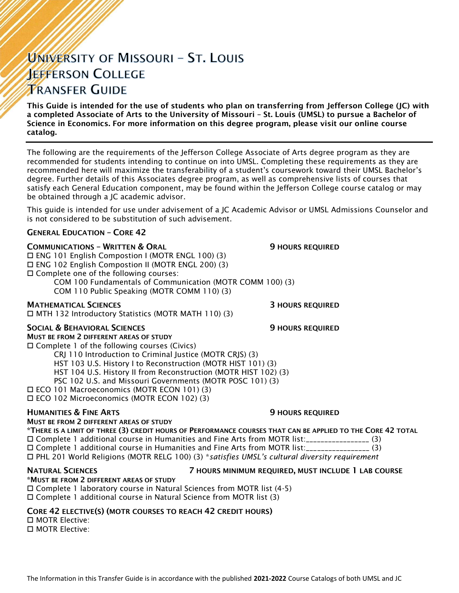# UNIVERSITY OF MISSOURI - ST. LOUIS **JEFFERSON COLLEGE TRANSFER GUIDE**

This Guide is intended for the use of students who plan on transferring from Jefferson College (JC) with a completed Associate of Arts to the University of Missouri – St. Louis (UMSL) to pursue a Bachelor of Science in Economics. For more information on this degree program, please visit our online course catalog.

The following are the requirements of the Jefferson College Associate of Arts degree program as they are recommended for students intending to continue on into UMSL. Completing these requirements as they are recommended here will maximize the transferability of a student's coursework toward their UMSL Bachelor's degree. Further details of this Associates degree program, as well as comprehensive lists of courses that satisfy each General Education component, may be found within the Jefferson College course catalog or may be obtained through a JC academic advisor.

This guide is intended for use under advisement of a JC Academic Advisor or UMSL Admissions Counselor and is not considered to be substitution of such advisement.

### GENERAL EDUCATION – CORE 42

### **COMMUNICATIONS - WRITTEN & ORAL 5 AU SERVICE SEX ASSESSED AT AU SERVICE OF STATIONS REQUIRED**

 ENG 101 English Compostion I (MOTR ENGL 100) (3) ENG 102 English Compostion II (MOTR ENGL 200) (3) Complete one of the following courses: COM 100 Fundamentals of Communication (MOTR COMM 100) (3) COM 110 Public Speaking (MOTR COMM 110) (3)

**MATHEMATICAL SCIENCES 3 HOURS REQUIRED** 

MTH 132 Introductory Statistics (MOTR MATH 110) (3)

#### SOCIAL & BEHAVIORAL SCIENCES **19 SOCIAL SERVICES** 9 HOURS REQUIRED

MUST BE FROM 2 DIFFERENT AREAS OF STUDY Complete 1 of the following courses (Civics)

CRJ 110 Introduction to Criminal Justice (MOTR CRJS) (3)

HST 103 U.S. History I to Reconstruction (MOTR HIST 101) (3)

HST 104 U.S. History II from Reconstruction (MOTR HIST 102) (3)

PSC 102 U.S. and Missouri Governments (MOTR POSC 101) (3)

ECO 101 Macroeconomics (MOTR ECON 101) (3)

ECO 102 Microeconomics (MOTR ECON 102) (3)

#### **HUMANITIES & FINE ARTS 19 ACCESS 20 HOURS REQUIRED**

#### MUST BE FROM 2 DIFFERENT AREAS OF STUDY

\*THERE IS A LIMIT OF THREE (3) CREDIT HOURS OF PERFORMANCE COURSES THAT CAN BE APPLIED TO THE CORE 42 TOTAL Complete 1 additional course in Humanities and Fine Arts from MOTR list:\_\_\_\_\_\_\_\_\_\_\_\_\_\_\_\_\_ (3) Complete 1 additional course in Humanities and Fine Arts from MOTR list:\_\_\_\_\_\_\_\_\_\_\_\_\_\_\_\_\_ (3) PHL 201 World Religions (MOTR RELG 100) (3) \**satisfies UMSL's cultural diversity requirement*

## \*MUST BE FROM 2 DIFFERENT AREAS OF STUDY

#### NATURAL SCIENCES 7 HOURS MINIMUM REQUIRED, MUST INCLUDE 1 LAB COURSE

 Complete 1 laboratory course in Natural Sciences from MOTR list (4-5) Complete 1 additional course in Natural Science from MOTR list (3)

#### CORE 42 ELECTIVE(S) (MOTR COURSES TO REACH 42 CREDIT HOURS)

 MOTR Elective: MOTR Elective: